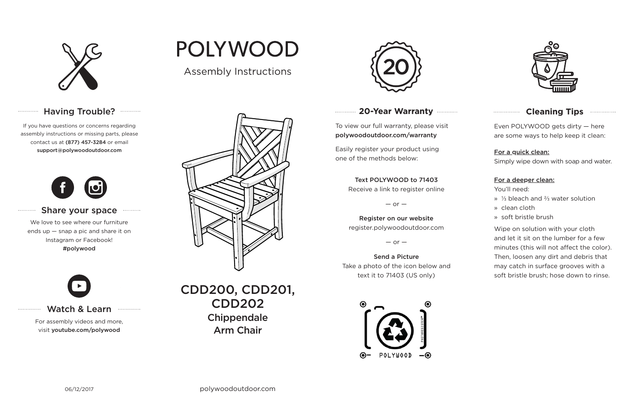

### Having Trouble? **...........**

#### **20-Year Warranty**

To view our full warranty, please visit polywoodoutdoor.com/warranty

Easily register your product using one of the methods below:

Even POLYWOOD gets dirty — here are some ways to help keep it clean:

#### For a quick clean:

Simply wipe down with soap and water.

#### For a deeper clean:

You'll need:

- » ⅓ bleach and ⅔ water solution
- » clean cloth
- » soft bristle brush

Wipe on solution with your cloth and let it sit on the lumber for a few minutes (this will not affect the color). Then, loosen any dirt and debris that may catch in surface grooves with a soft bristle brush; hose down to rinse.

#### Share your space . . . . . . . . . . .

#### Text POLYWOOD to 71403

Receive a link to register online

 $-$  or  $-$ 

Register on our website register.polywoodoutdoor.com

 $-$  or  $-$ 

#### Send a PictureTake a photo of the icon below and text it to 71403 (US only)





#### **Cleaning Tips manufacture Cleaning Tips**

#### Watch & Learn

For assembly videos and more, visit youtube.com/polywood

## **POLYWOOD**

If you have questions or concerns regarding assembly instructions or missing parts, please contact us at (877) 457-3284 or email support@polywoodoutdoor.com

. . . . . . . . . . . . .

. . . . . . . . . . .

. . . . . . . . . . . . . .



We love to see where our furniture ends up — snap a pic and share it on Instagram or Facebook! #polywood



Assembly Instructions



CDD200, CDD201, CDD202**Chippendale** Arm Chair